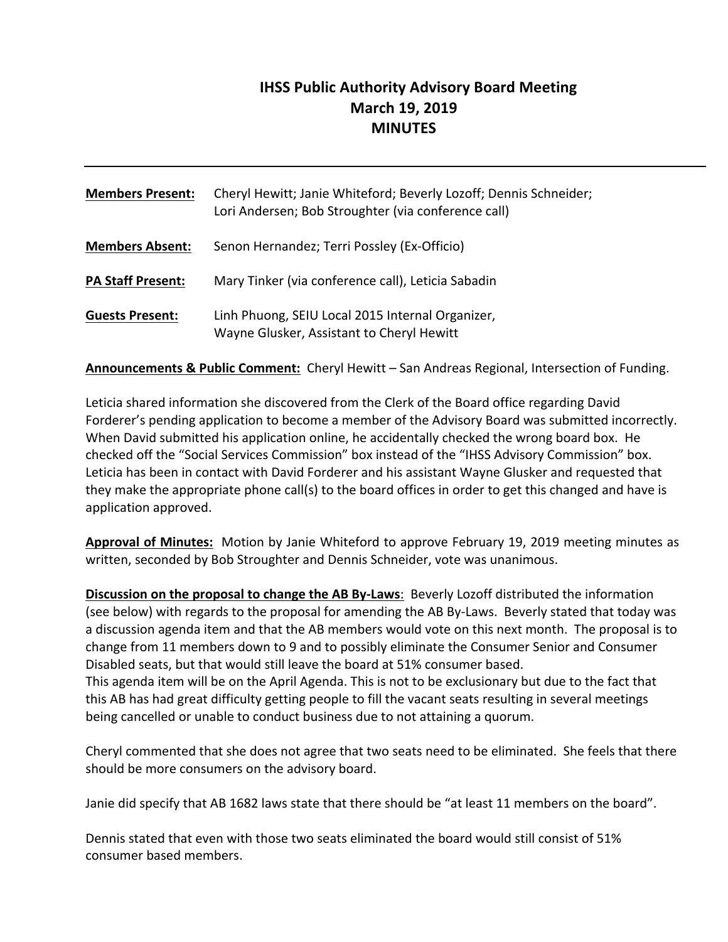# **IHSS Public Authority Advisory Board Meeting March 19, 2019 MINUTES**

| <b>Members Present:</b>  | Cheryl Hewitt; Janie Whiteford; Beverly Lozoff; Dennis Schneider;<br>Lori Andersen; Bob Stroughter (via conference call) |
|--------------------------|--------------------------------------------------------------------------------------------------------------------------|
| <b>Members Absent:</b>   | Senon Hernandez; Terri Possley (Ex-Officio)                                                                              |
| <b>PA Staff Present:</b> | Mary Tinker (via conference call), Leticia Sabadin                                                                       |
| <b>Guests Present:</b>   | Linh Phuong, SEIU Local 2015 Internal Organizer,<br>Wayne Glusker, Assistant to Cheryl Hewitt                            |

**Announcements & Public Comment:** Cheryl Hewitt – San Andreas Regional, Intersection of Funding.

Leticia shared information she discovered from the Clerk of the Board office regarding David Forderer's pending application to become a member of the Advisory Board was submitted incorrectly. When David submitted his application online, he accidentally checked the wrong board box. He checked off the "Social Services Commission" box instead of the "IHSS Advisory Commission" box. Leticia has been in contact with David Forderer and his assistant Wayne Glusker and requested that they make the appropriate phone call(s) to the board offices in order to get this changed and have is application approved.

Approval of Minutes: Motion by Janie Whiteford to approve February 19, 2019 meeting minutes as written, seconded by Bob Stroughter and Dennis Schneider, vote was unanimous.

**Discussion on the proposal to change the AB By-Laws:** Beverly Lozoff distributed the information (see below) with regards to the proposal for amending the AB By-Laws. Beverly stated that today was a discussion agenda item and that the AB members would vote on this next month. The proposal is to change from 11 members down to 9 and to possibly eliminate the Consumer Senior and Consumer Disabled seats, but that would still leave the board at 51% consumer based. This agenda item will be on the April Agenda. This is not to be exclusionary but due to the fact that this AB has had great difficulty getting people to fill the vacant seats resulting in several meetings being cancelled or unable to conduct business due to not attaining a quorum.

Cheryl commented that she does not agree that two seats need to be eliminated. She feels that there should be more consumers on the advisory board.

Janie did specify that AB 1682 laws state that there should be "at least 11 members on the board".

Dennis stated that even with those two seats eliminated the board would still consist of 51% consumer based members.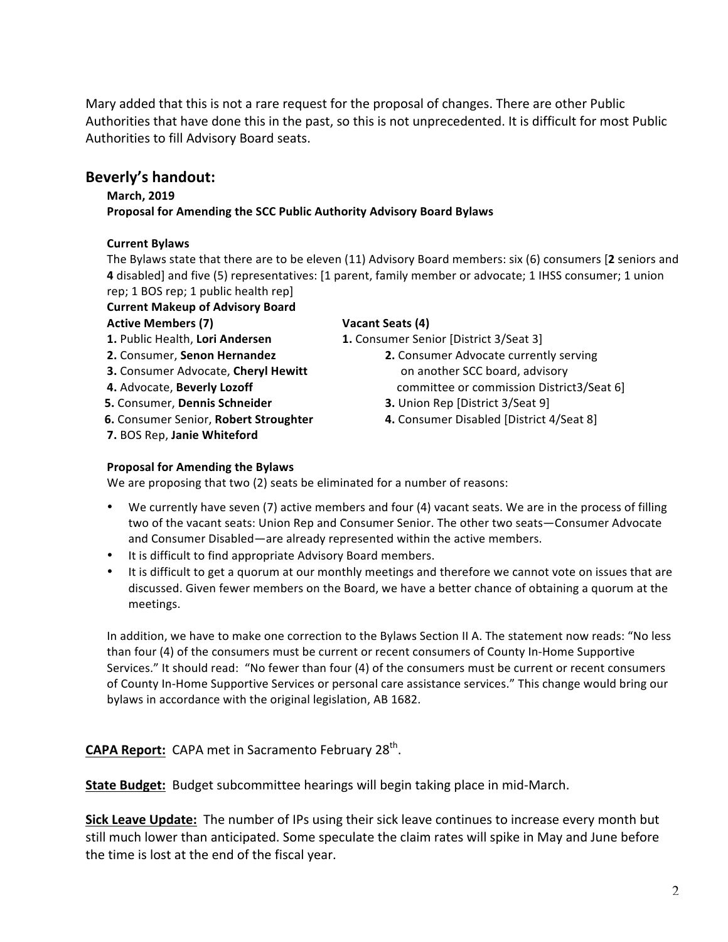Mary added that this is not a rare request for the proposal of changes. There are other Public Authorities that have done this in the past, so this is not unprecedented. It is difficult for most Public Authorities to fill Advisory Board seats.

# **Beverly's handout:**

#### **March, 2019**

**Proposal for Amending the SCC Public Authority Advisory Board Bylaws** 

#### **Current Bylaws**

The Bylaws state that there are to be eleven (11) Advisory Board members: six (6) consumers [2 seniors and **4** disabled] and five (5) representatives: [1 parent, family member or advocate; 1 IHSS consumer; 1 union rep; 1 BOS rep; 1 public health rep]

**Current Makeup of Advisory Board** 

#### Active Members (7) **Vacant Seats** (4)

- 
- 
- **3.** Consumer Advocate, Cheryl Hewitt **Check** on another SCC board, advisory
- 
- **5.** Consumer, **Dennis Schneider 3.** Union Rep [District 3/Seat 9]
- 
- **7.** BOS Rep, **Janie Whiteford**

**1.** Public Health, Lori Andersen **1.** Consumer Senior [District 3/Seat 3]

- **2.** Consumer, **Senon Hernandez 2.** Consumer Advocate currently serving **4.** Advocate, **Beverly Lozoff because the committee or commission District3/Seat 6]** 
	-
- **6.** Consumer Senior, **Robert Stroughter 4.** Consumer Disabled [District 4/Seat 8]

# **Proposal for Amending the Bylaws**

We are proposing that two (2) seats be eliminated for a number of reasons:

- We currently have seven (7) active members and four (4) vacant seats. We are in the process of filling two of the vacant seats: Union Rep and Consumer Senior. The other two seats—Consumer Advocate and Consumer Disabled—are already represented within the active members.
- It is difficult to find appropriate Advisory Board members.
- It is difficult to get a quorum at our monthly meetings and therefore we cannot vote on issues that are discussed. Given fewer members on the Board, we have a better chance of obtaining a quorum at the meetings.

In addition, we have to make one correction to the Bylaws Section II A. The statement now reads: "No less than four (4) of the consumers must be current or recent consumers of County In-Home Supportive Services." It should read: "No fewer than four (4) of the consumers must be current or recent consumers of County In-Home Supportive Services or personal care assistance services." This change would bring our bylaws in accordance with the original legislation, AB 1682.

**CAPA Report:** CAPA met in Sacramento February 28<sup>th</sup>.

**State Budget:** Budget subcommittee hearings will begin taking place in mid-March.

**Sick Leave Update:** The number of IPs using their sick leave continues to increase every month but still much lower than anticipated. Some speculate the claim rates will spike in May and June before the time is lost at the end of the fiscal year.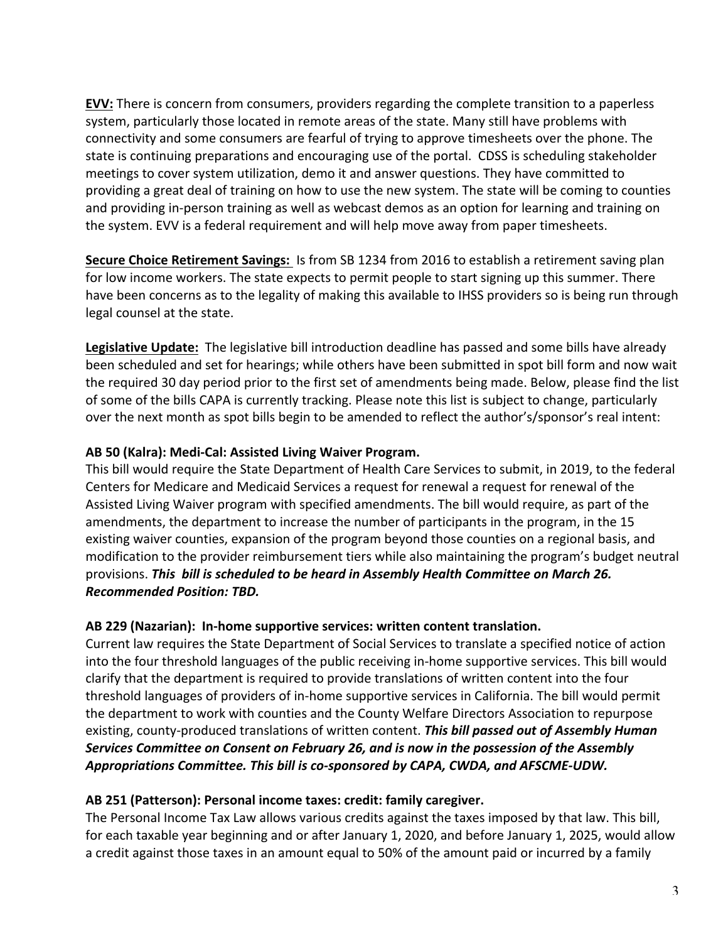**EVV:** There is concern from consumers, providers regarding the complete transition to a paperless system, particularly those located in remote areas of the state. Many still have problems with connectivity and some consumers are fearful of trying to approve timesheets over the phone. The state is continuing preparations and encouraging use of the portal. CDSS is scheduling stakeholder meetings to cover system utilization, demo it and answer questions. They have committed to providing a great deal of training on how to use the new system. The state will be coming to counties and providing in-person training as well as webcast demos as an option for learning and training on the system. EVV is a federal requirement and will help move away from paper timesheets.

**Secure Choice Retirement Savings:** Is from SB 1234 from 2016 to establish a retirement saving plan for low income workers. The state expects to permit people to start signing up this summer. There have been concerns as to the legality of making this available to IHSS providers so is being run through legal counsel at the state.

**Legislative Update:** The legislative bill introduction deadline has passed and some bills have already been scheduled and set for hearings; while others have been submitted in spot bill form and now wait the required 30 day period prior to the first set of amendments being made. Below, please find the list of some of the bills CAPA is currently tracking. Please note this list is subject to change, particularly over the next month as spot bills begin to be amended to reflect the author's/sponsor's real intent:

# AB 50 (Kalra): Medi-Cal: Assisted Living Waiver Program.

This bill would require the State Department of Health Care Services to submit, in 2019, to the federal Centers for Medicare and Medicaid Services a request for renewal a request for renewal of the Assisted Living Waiver program with specified amendments. The bill would require, as part of the amendments, the department to increase the number of participants in the program, in the 15 existing waiver counties, expansion of the program beyond those counties on a regional basis, and modification to the provider reimbursement tiers while also maintaining the program's budget neutral provisions. This bill is scheduled to be heard in Assembly Health Committee on March 26. *Recommended Position: TBD.*

### AB 229 (Nazarian): In-home supportive services: written content translation.

Current law requires the State Department of Social Services to translate a specified notice of action into the four threshold languages of the public receiving in-home supportive services. This bill would clarify that the department is required to provide translations of written content into the four threshold languages of providers of in-home supportive services in California. The bill would permit the department to work with counties and the County Welfare Directors Association to repurpose existing, county-produced translations of written content. This bill passed out of Assembly Human Services Committee on Consent on February 26, and is now in the possession of the Assembly Appropriations Committee. This bill is co-sponsored by CAPA, CWDA, and AFSCME-UDW.

### AB 251 (Patterson): Personal income taxes: credit: family caregiver.

The Personal Income Tax Law allows various credits against the taxes imposed by that law. This bill, for each taxable year beginning and or after January 1, 2020, and before January 1, 2025, would allow a credit against those taxes in an amount equal to 50% of the amount paid or incurred by a family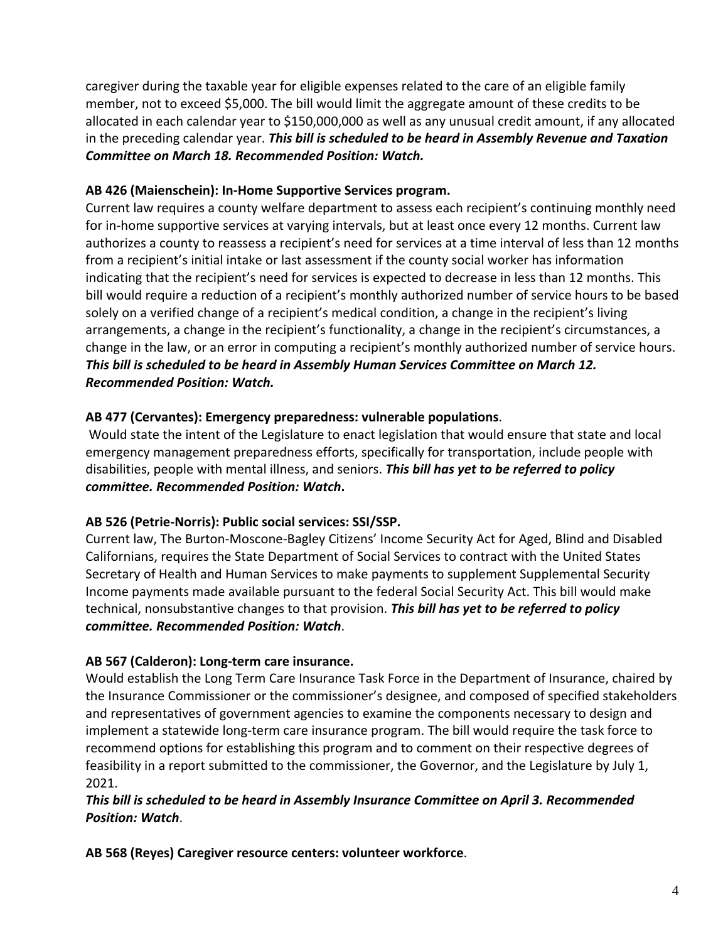caregiver during the taxable year for eligible expenses related to the care of an eligible family member, not to exceed \$5,000. The bill would limit the aggregate amount of these credits to be allocated in each calendar year to \$150,000,000 as well as any unusual credit amount, if any allocated in the preceding calendar year. *This bill is scheduled to be heard in Assembly Revenue and Taxation Committee on March 18. Recommended Position: Watch.*

## AB 426 (Maienschein): In-Home Supportive Services program.

Current law requires a county welfare department to assess each recipient's continuing monthly need for in-home supportive services at varying intervals, but at least once every 12 months. Current law authorizes a county to reassess a recipient's need for services at a time interval of less than 12 months from a recipient's initial intake or last assessment if the county social worker has information indicating that the recipient's need for services is expected to decrease in less than 12 months. This bill would require a reduction of a recipient's monthly authorized number of service hours to be based solely on a verified change of a recipient's medical condition, a change in the recipient's living arrangements, a change in the recipient's functionality, a change in the recipient's circumstances, a change in the law, or an error in computing a recipient's monthly authorized number of service hours. This bill is scheduled to be heard in Assembly Human Services Committee on March 12. *Recommended Position: Watch.*

# AB 477 (Cervantes): Emergency preparedness: vulnerable populations.

Would state the intent of the Legislature to enact legislation that would ensure that state and local emergency management preparedness efforts, specifically for transportation, include people with disabilities, people with mental illness, and seniors. This bill has yet to be referred to policy *committee. Recommended Position: Watch***.**

# AB 526 (Petrie-Norris): Public social services: SSI/SSP.

Current law, The Burton-Moscone-Bagley Citizens' Income Security Act for Aged, Blind and Disabled Californians, requires the State Department of Social Services to contract with the United States Secretary of Health and Human Services to make payments to supplement Supplemental Security Income payments made available pursuant to the federal Social Security Act. This bill would make technical, nonsubstantive changes to that provision. This bill has yet to be referred to policy *committee. Recommended Position: Watch*.

# AB 567 (Calderon): Long-term care insurance.

Would establish the Long Term Care Insurance Task Force in the Department of Insurance, chaired by the Insurance Commissioner or the commissioner's designee, and composed of specified stakeholders and representatives of government agencies to examine the components necessary to design and implement a statewide long-term care insurance program. The bill would require the task force to recommend options for establishing this program and to comment on their respective degrees of feasibility in a report submitted to the commissioner, the Governor, and the Legislature by July 1, 2021.

# This bill is scheduled to be heard in Assembly Insurance Committee on April 3. Recommended *Position: Watch*.

AB 568 (Reyes) Caregiver resource centers: volunteer workforce.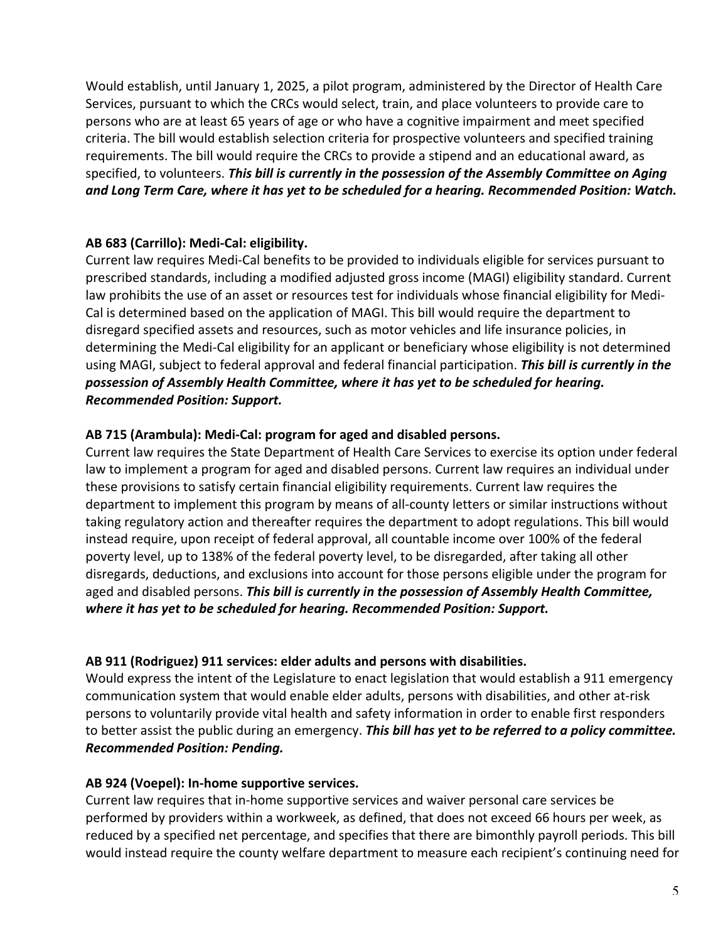Would establish, until January 1, 2025, a pilot program, administered by the Director of Health Care Services, pursuant to which the CRCs would select, train, and place volunteers to provide care to persons who are at least 65 years of age or who have a cognitive impairment and meet specified criteria. The bill would establish selection criteria for prospective volunteers and specified training requirements. The bill would require the CRCs to provide a stipend and an educational award, as specified, to volunteers. This bill is currently in the possession of the Assembly Committee on Aging and Long Term Care, where it has yet to be scheduled for a hearing. Recommended Position: Watch.

# AB 683 (Carrillo): Medi-Cal: eligibility.

Current law requires Medi-Cal benefits to be provided to individuals eligible for services pursuant to prescribed standards, including a modified adjusted gross income (MAGI) eligibility standard. Current law prohibits the use of an asset or resources test for individuals whose financial eligibility for Medi-Cal is determined based on the application of MAGI. This bill would require the department to disregard specified assets and resources, such as motor vehicles and life insurance policies, in determining the Medi-Cal eligibility for an applicant or beneficiary whose eligibility is not determined using MAGI, subject to federal approval and federal financial participation. This bill is currently in the possession of Assembly Health Committee, where it has yet to be scheduled for hearing. *Recommended Position: Support.*

### AB 715 (Arambula): Medi-Cal: program for aged and disabled persons.

Current law requires the State Department of Health Care Services to exercise its option under federal law to implement a program for aged and disabled persons. Current law requires an individual under these provisions to satisfy certain financial eligibility requirements. Current law requires the department to implement this program by means of all-county letters or similar instructions without taking regulatory action and thereafter requires the department to adopt regulations. This bill would instead require, upon receipt of federal approval, all countable income over 100% of the federal poverty level, up to 138% of the federal poverty level, to be disregarded, after taking all other disregards, deductions, and exclusions into account for those persons eligible under the program for aged and disabled persons. This bill is currently in the possession of Assembly Health Committee, where it has yet to be scheduled for hearing. Recommended Position: Support.

### AB 911 (Rodriguez) 911 services: elder adults and persons with disabilities.

Would express the intent of the Legislature to enact legislation that would establish a 911 emergency communication system that would enable elder adults, persons with disabilities, and other at-risk persons to voluntarily provide vital health and safety information in order to enable first responders to better assist the public during an emergency. This bill has yet to be referred to a policy committee. *Recommended Position: Pending.*

### AB 924 (Voepel): In-home supportive services.

Current law requires that in-home supportive services and waiver personal care services be performed by providers within a workweek, as defined, that does not exceed 66 hours per week, as reduced by a specified net percentage, and specifies that there are bimonthly payroll periods. This bill would instead require the county welfare department to measure each recipient's continuing need for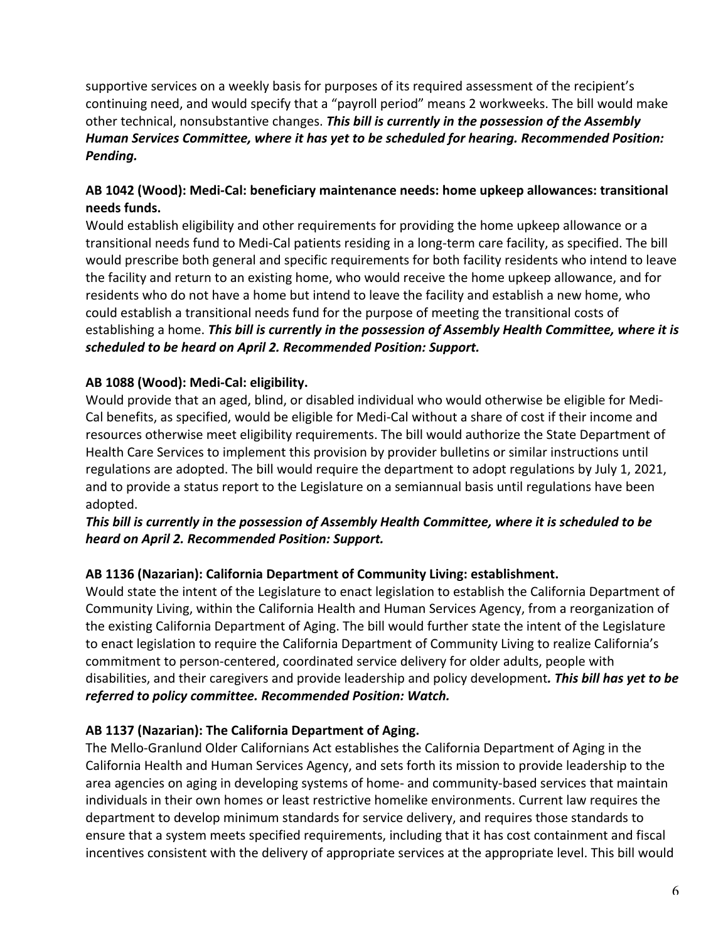supportive services on a weekly basis for purposes of its required assessment of the recipient's continuing need, and would specify that a "payroll period" means 2 workweeks. The bill would make other technical, nonsubstantive changes. This bill is currently in the possession of the Assembly Human Services Committee, where it has yet to be scheduled for hearing. Recommended Position: *Pending.* 

# AB 1042 (Wood): Medi-Cal: beneficiary maintenance needs: home upkeep allowances: transitional **needs funds.**

Would establish eligibility and other requirements for providing the home upkeep allowance or a transitional needs fund to Medi-Cal patients residing in a long-term care facility, as specified. The bill would prescribe both general and specific requirements for both facility residents who intend to leave the facility and return to an existing home, who would receive the home upkeep allowance, and for residents who do not have a home but intend to leave the facility and establish a new home, who could establish a transitional needs fund for the purpose of meeting the transitional costs of establishing a home. *This bill is currently in the possession of Assembly Health Committee, where it is* scheduled to be heard on April 2. Recommended Position: Support.

# AB 1088 (Wood): Medi-Cal: eligibility.

Would provide that an aged, blind, or disabled individual who would otherwise be eligible for Medi-Cal benefits, as specified, would be eligible for Medi-Cal without a share of cost if their income and resources otherwise meet eligibility requirements. The bill would authorize the State Department of Health Care Services to implement this provision by provider bulletins or similar instructions until regulations are adopted. The bill would require the department to adopt regulations by July 1, 2021, and to provide a status report to the Legislature on a semiannual basis until regulations have been adopted.

# This bill is currently in the possession of Assembly Health Committee, where it is scheduled to be *heard on April 2. Recommended Position: Support.*

### AB 1136 (Nazarian): California Department of Community Living: establishment.

Would state the intent of the Legislature to enact legislation to establish the California Department of Community Living, within the California Health and Human Services Agency, from a reorganization of the existing California Department of Aging. The bill would further state the intent of the Legislature to enact legislation to require the California Department of Community Living to realize California's commitment to person-centered, coordinated service delivery for older adults, people with disabilities, and their caregivers and provide leadership and policy development. This bill has yet to be referred to policy committee. Recommended Position: Watch.

### AB 1137 (Nazarian): The California Department of Aging.

The Mello-Granlund Older Californians Act establishes the California Department of Aging in the California Health and Human Services Agency, and sets forth its mission to provide leadership to the area agencies on aging in developing systems of home- and community-based services that maintain individuals in their own homes or least restrictive homelike environments. Current law requires the department to develop minimum standards for service delivery, and requires those standards to ensure that a system meets specified requirements, including that it has cost containment and fiscal incentives consistent with the delivery of appropriate services at the appropriate level. This bill would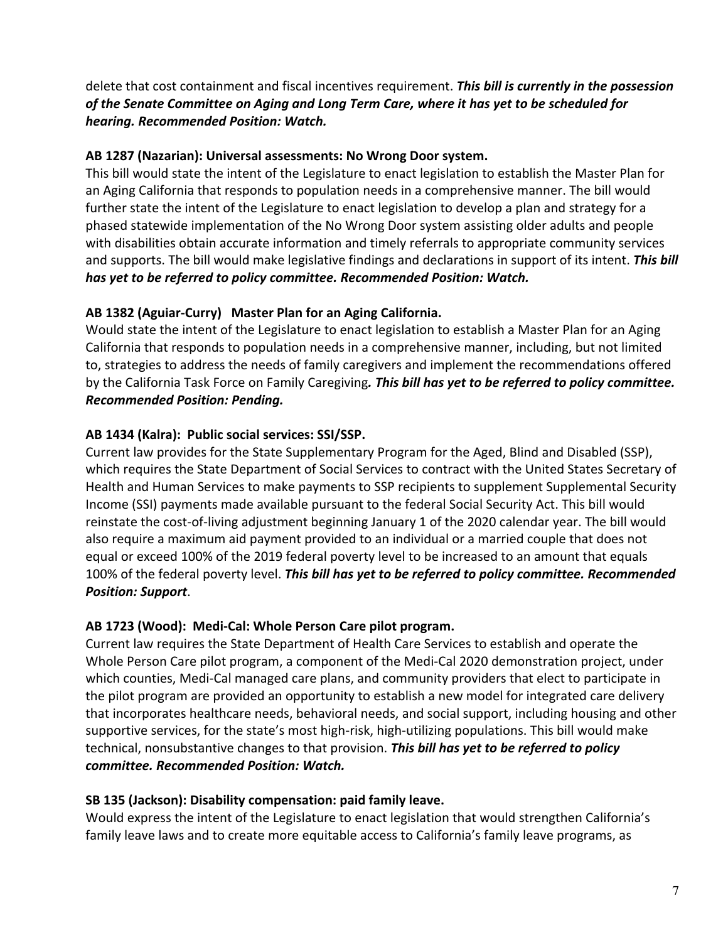delete that cost containment and fiscal incentives requirement. This bill is currently in the possession of the Senate Committee on Aging and Long Term Care, where it has yet to be scheduled for *hearing. Recommended Position: Watch.*

## AB 1287 (Nazarian): Universal assessments: No Wrong Door system.

This bill would state the intent of the Legislature to enact legislation to establish the Master Plan for an Aging California that responds to population needs in a comprehensive manner. The bill would further state the intent of the Legislature to enact legislation to develop a plan and strategy for a phased statewide implementation of the No Wrong Door system assisting older adults and people with disabilities obtain accurate information and timely referrals to appropriate community services and supports. The bill would make legislative findings and declarations in support of its intent. This bill has yet to be referred to policy committee. Recommended Position: Watch.

# AB 1382 (Aguiar-Curry) Master Plan for an Aging California.

Would state the intent of the Legislature to enact legislation to establish a Master Plan for an Aging California that responds to population needs in a comprehensive manner, including, but not limited to, strategies to address the needs of family caregivers and implement the recommendations offered by the California Task Force on Family Caregiving. This bill has yet to be referred to policy committee. *Recommended Position: Pending.*

# AB 1434 (Kalra): Public social services: SSI/SSP.

Current law provides for the State Supplementary Program for the Aged, Blind and Disabled (SSP), which requires the State Department of Social Services to contract with the United States Secretary of Health and Human Services to make payments to SSP recipients to supplement Supplemental Security Income (SSI) payments made available pursuant to the federal Social Security Act. This bill would reinstate the cost-of-living adjustment beginning January 1 of the 2020 calendar year. The bill would also require a maximum aid payment provided to an individual or a married couple that does not equal or exceed 100% of the 2019 federal poverty level to be increased to an amount that equals 100% of the federal poverty level. This bill has yet to be referred to policy committee. Recommended *Position: Support*.

### AB 1723 (Wood): Medi-Cal: Whole Person Care pilot program.

Current law requires the State Department of Health Care Services to establish and operate the Whole Person Care pilot program, a component of the Medi-Cal 2020 demonstration project, under which counties, Medi-Cal managed care plans, and community providers that elect to participate in the pilot program are provided an opportunity to establish a new model for integrated care delivery that incorporates healthcare needs, behavioral needs, and social support, including housing and other supportive services, for the state's most high-risk, high-utilizing populations. This bill would make technical, nonsubstantive changes to that provision. This bill has yet to be referred to policy *committee. Recommended Position: Watch.*  

### **SB 135 (Jackson): Disability compensation: paid family leave.**

Would express the intent of the Legislature to enact legislation that would strengthen California's family leave laws and to create more equitable access to California's family leave programs, as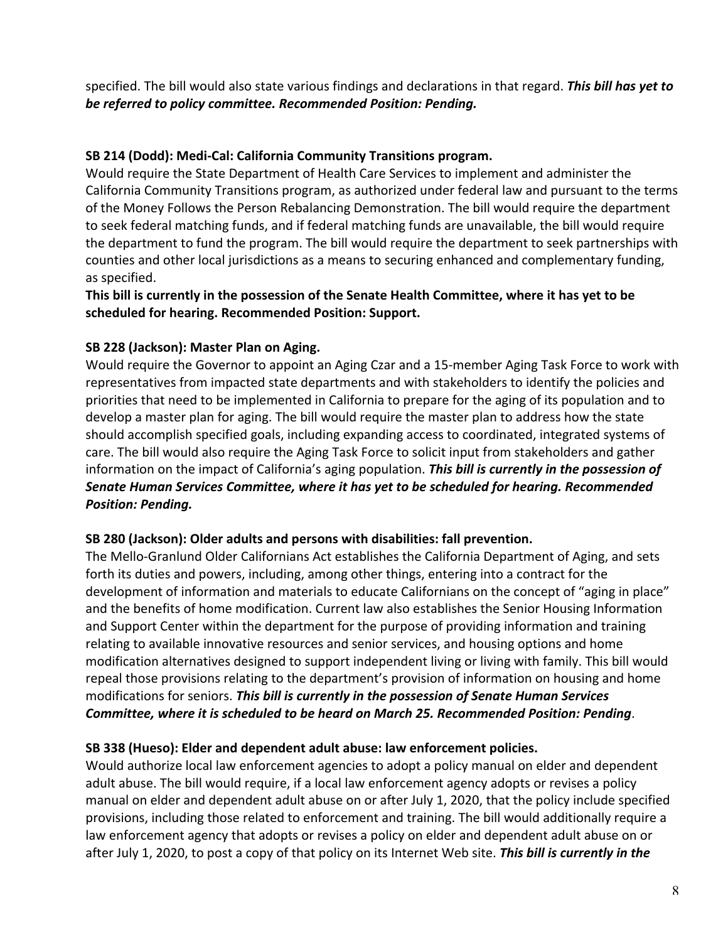specified. The bill would also state various findings and declarations in that regard. This bill has yet to be referred to policy committee. Recommended Position: Pending.

## SB 214 (Dodd): Medi-Cal: California Community Transitions program.

Would require the State Department of Health Care Services to implement and administer the California Community Transitions program, as authorized under federal law and pursuant to the terms of the Money Follows the Person Rebalancing Demonstration. The bill would require the department to seek federal matching funds, and if federal matching funds are unavailable, the bill would require the department to fund the program. The bill would require the department to seek partnerships with counties and other local jurisdictions as a means to securing enhanced and complementary funding, as specified.

### This bill is currently in the possession of the Senate Health Committee, where it has yet to be scheduled for hearing. Recommended Position: Support.

# **SB 228 (Jackson): Master Plan on Aging.**

Would require the Governor to appoint an Aging Czar and a 15-member Aging Task Force to work with representatives from impacted state departments and with stakeholders to identify the policies and priorities that need to be implemented in California to prepare for the aging of its population and to develop a master plan for aging. The bill would require the master plan to address how the state should accomplish specified goals, including expanding access to coordinated, integrated systems of care. The bill would also require the Aging Task Force to solicit input from stakeholders and gather information on the impact of California's aging population. This bill is currently in the possession of Senate Human Services Committee, where it has yet to be scheduled for hearing. Recommended **Position: Pending.** 

### **SB 280 (Jackson): Older adults and persons with disabilities: fall prevention.**

The Mello-Granlund Older Californians Act establishes the California Department of Aging, and sets forth its duties and powers, including, among other things, entering into a contract for the development of information and materials to educate Californians on the concept of "aging in place" and the benefits of home modification. Current law also establishes the Senior Housing Information and Support Center within the department for the purpose of providing information and training relating to available innovative resources and senior services, and housing options and home modification alternatives designed to support independent living or living with family. This bill would repeal those provisions relating to the department's provision of information on housing and home modifications for seniors. This bill is currently in the possession of Senate Human Services Committee, where it is scheduled to be heard on March 25. Recommended Position: Pending.

### SB 338 (Hueso): Elder and dependent adult abuse: law enforcement policies.

Would authorize local law enforcement agencies to adopt a policy manual on elder and dependent adult abuse. The bill would require, if a local law enforcement agency adopts or revises a policy manual on elder and dependent adult abuse on or after July 1, 2020, that the policy include specified provisions, including those related to enforcement and training. The bill would additionally require a law enforcement agency that adopts or revises a policy on elder and dependent adult abuse on or after July 1, 2020, to post a copy of that policy on its Internet Web site. This bill is currently in the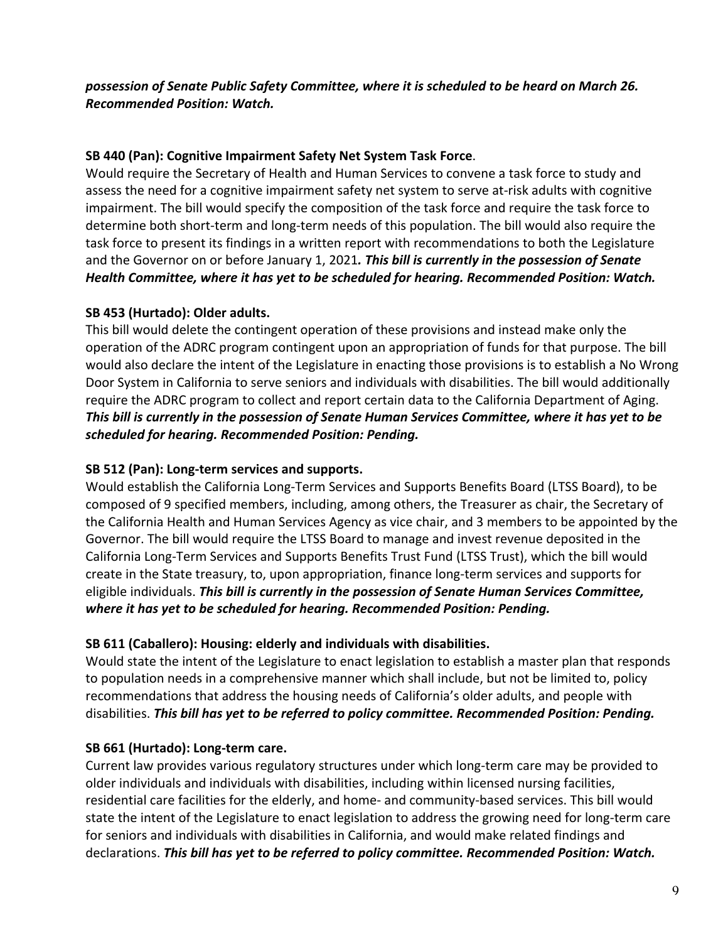### possession of Senate Public Safety Committee, where it is scheduled to be heard on March 26. *Recommended Position: Watch.*

## **SB 440 (Pan): Cognitive Impairment Safety Net System Task Force.**

Would require the Secretary of Health and Human Services to convene a task force to study and assess the need for a cognitive impairment safety net system to serve at-risk adults with cognitive impairment. The bill would specify the composition of the task force and require the task force to determine both short-term and long-term needs of this population. The bill would also require the task force to present its findings in a written report with recommendations to both the Legislature and the Governor on or before January 1, 2021. This bill is currently in the possession of Senate Health Committee, where it has yet to be scheduled for hearing. Recommended Position: Watch.

# **SB 453 (Hurtado): Older adults.**

This bill would delete the contingent operation of these provisions and instead make only the operation of the ADRC program contingent upon an appropriation of funds for that purpose. The bill would also declare the intent of the Legislature in enacting those provisions is to establish a No Wrong Door System in California to serve seniors and individuals with disabilities. The bill would additionally require the ADRC program to collect and report certain data to the California Department of Aging. This bill is currently in the possession of Senate Human Services Committee, where it has yet to be scheduled for hearing. Recommended Position: Pending.

## SB 512 (Pan): Long-term services and supports.

Would establish the California Long-Term Services and Supports Benefits Board (LTSS Board), to be composed of 9 specified members, including, among others, the Treasurer as chair, the Secretary of the California Health and Human Services Agency as vice chair, and 3 members to be appointed by the Governor. The bill would require the LTSS Board to manage and invest revenue deposited in the California Long-Term Services and Supports Benefits Trust Fund (LTSS Trust), which the bill would create in the State treasury, to, upon appropriation, finance long-term services and supports for eligible individuals. This bill is currently in the possession of Senate Human Services Committee, *where it has yet to be scheduled for hearing. Recommended Position: Pending.* 

### **SB 611 (Caballero): Housing: elderly and individuals with disabilities.**

Would state the intent of the Legislature to enact legislation to establish a master plan that responds to population needs in a comprehensive manner which shall include, but not be limited to, policy recommendations that address the housing needs of California's older adults, and people with disabilities. This bill has yet to be referred to policy committee. Recommended Position: Pending.

### **SB 661 (Hurtado): Long-term care.**

Current law provides various regulatory structures under which long-term care may be provided to older individuals and individuals with disabilities, including within licensed nursing facilities, residential care facilities for the elderly, and home- and community-based services. This bill would state the intent of the Legislature to enact legislation to address the growing need for long-term care for seniors and individuals with disabilities in California, and would make related findings and declarations. This bill has yet to be referred to policy committee. Recommended Position: Watch.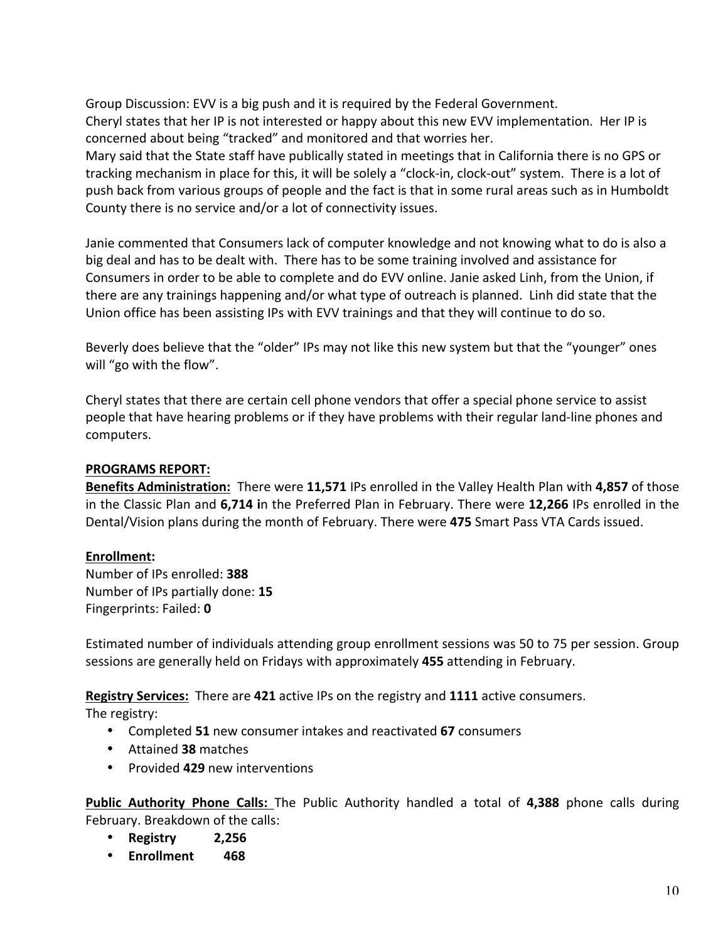Group Discussion: EVV is a big push and it is required by the Federal Government. Cheryl states that her IP is not interested or happy about this new EVV implementation. Her IP is concerned about being "tracked" and monitored and that worries her. Mary said that the State staff have publically stated in meetings that in California there is no GPS or tracking mechanism in place for this, it will be solely a "clock-in, clock-out" system. There is a lot of push back from various groups of people and the fact is that in some rural areas such as in Humboldt County there is no service and/or a lot of connectivity issues.

Janie commented that Consumers lack of computer knowledge and not knowing what to do is also a big deal and has to be dealt with. There has to be some training involved and assistance for Consumers in order to be able to complete and do EVV online. Janie asked Linh, from the Union, if there are any trainings happening and/or what type of outreach is planned. Linh did state that the Union office has been assisting IPs with EVV trainings and that they will continue to do so.

Beverly does believe that the "older" IPs may not like this new system but that the "younger" ones will "go with the flow".

Cheryl states that there are certain cell phone vendors that offer a special phone service to assist people that have hearing problems or if they have problems with their regular land-line phones and computers.

## **PROGRAMS REPORT:**

**Benefits Administration:** There were 11,571 IPs enrolled in the Valley Health Plan with 4,857 of those in the Classic Plan and 6,714 in the Preferred Plan in February. There were 12,266 IPs enrolled in the Dental/Vision plans during the month of February. There were 475 Smart Pass VTA Cards issued.

### **Enrollment:**

Number of IPs enrolled: **388** Number of IPs partially done: **15** Fingerprints: Failed: **0**

Estimated number of individuals attending group enrollment sessions was 50 to 75 per session. Group sessions are generally held on Fridays with approximately 455 attending in February.

**Registry Services:** There are 421 active IPs on the registry and 1111 active consumers.

The registry:

- Completed 51 new consumer intakes and reactivated 67 consumers
- Attained **38** matches
- Provided 429 new interventions

**Public Authority Phone Calls:** The Public Authority handled a total of 4,388 phone calls during February. Breakdown of the calls:

- **Registry 2,256**
- **Enrollment 468**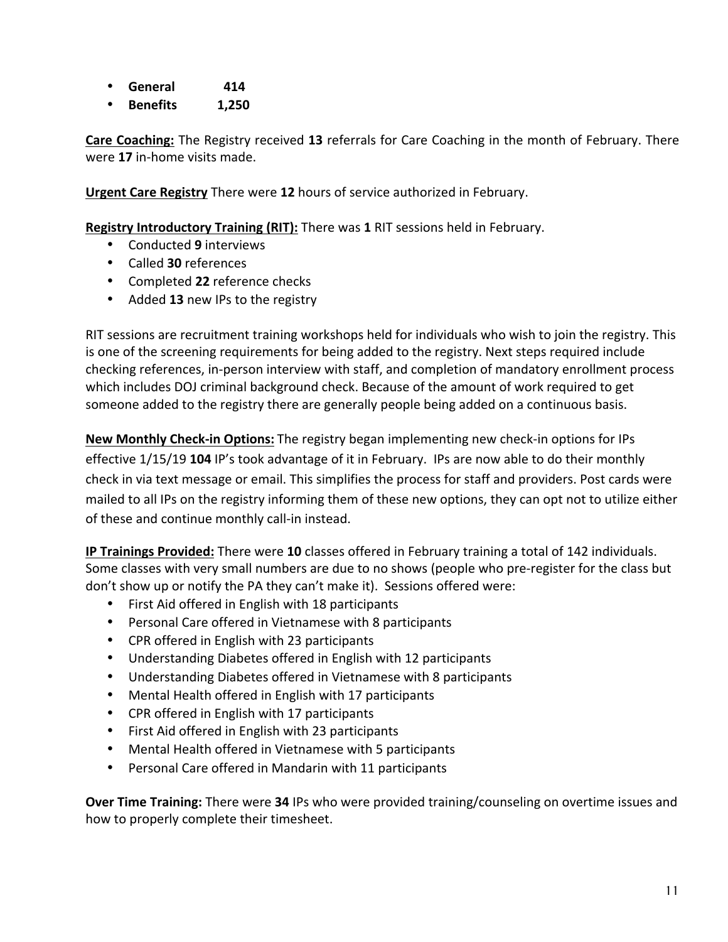- **General 414**
- **Benefits 1,250**

**Care Coaching:** The Registry received 13 referrals for Care Coaching in the month of February. There were 17 in-home visits made.

**Urgent Care Registry** There were 12 hours of service authorized in February.

**Registry Introductory Training (RIT):** There was 1 RIT sessions held in February.

- Conducted **9** interviews
- Called **30** references
- Completed 22 reference checks
- Added 13 new IPs to the registry

RIT sessions are recruitment training workshops held for individuals who wish to join the registry. This is one of the screening requirements for being added to the registry. Next steps required include checking references, in-person interview with staff, and completion of mandatory enrollment process which includes DOJ criminal background check. Because of the amount of work required to get someone added to the registry there are generally people being added on a continuous basis.

**New Monthly Check-in Options:** The registry began implementing new check-in options for IPs effective 1/15/19 **104** IP's took advantage of it in February. IPs are now able to do their monthly check in via text message or email. This simplifies the process for staff and providers. Post cards were mailed to all IPs on the registry informing them of these new options, they can opt not to utilize either of these and continue monthly call-in instead.

**IP Trainings Provided:** There were 10 classes offered in February training a total of 142 individuals. Some classes with very small numbers are due to no shows (people who pre-register for the class but don't show up or notify the PA they can't make it). Sessions offered were:

- First Aid offered in English with 18 participants
- Personal Care offered in Vietnamese with 8 participants
- CPR offered in English with 23 participants
- Understanding Diabetes offered in English with 12 participants
- Understanding Diabetes offered in Vietnamese with 8 participants
- Mental Health offered in English with 17 participants
- CPR offered in English with 17 participants
- First Aid offered in English with 23 participants
- Mental Health offered in Vietnamese with 5 participants
- Personal Care offered in Mandarin with 11 participants

**Over Time Training:** There were 34 IPs who were provided training/counseling on overtime issues and how to properly complete their timesheet.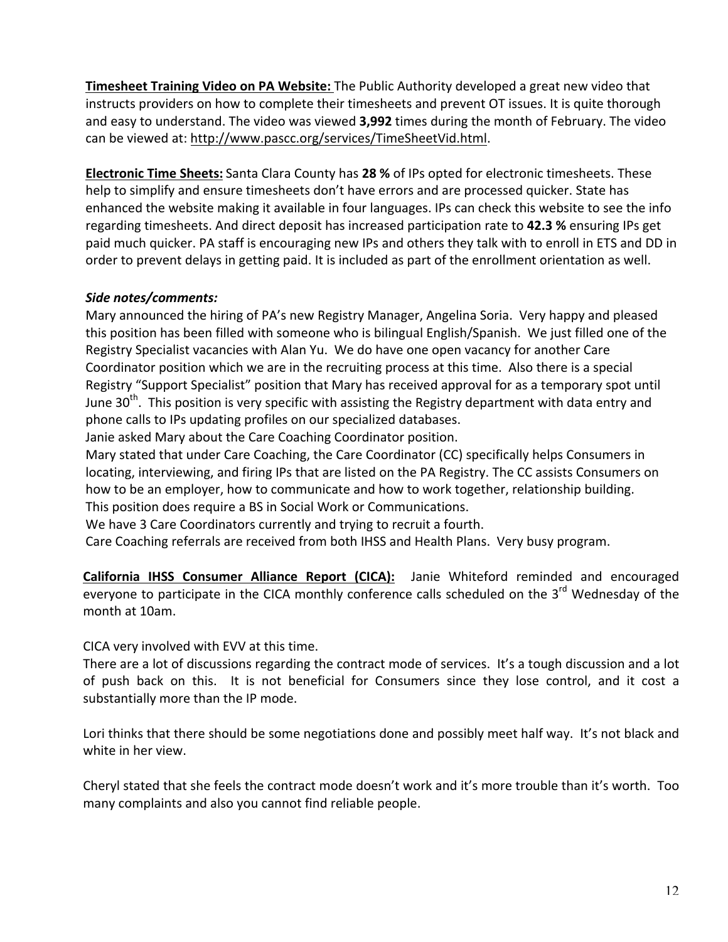**Timesheet Training Video on PA Website:** The Public Authority developed a great new video that instructs providers on how to complete their timesheets and prevent OT issues. It is quite thorough and easy to understand. The video was viewed 3,992 times during the month of February. The video can be viewed at: http://www.pascc.org/services/TimeSheetVid.html.

**Electronic Time Sheets:** Santa Clara County has 28 % of IPs opted for electronic timesheets. These help to simplify and ensure timesheets don't have errors and are processed quicker. State has enhanced the website making it available in four languages. IPs can check this website to see the info regarding timesheets. And direct deposit has increased participation rate to 42.3 % ensuring IPs get paid much quicker. PA staff is encouraging new IPs and others they talk with to enroll in ETS and DD in order to prevent delays in getting paid. It is included as part of the enrollment orientation as well.

# *Side notes/comments:*

Mary announced the hiring of PA's new Registry Manager, Angelina Soria. Very happy and pleased this position has been filled with someone who is bilingual English/Spanish. We just filled one of the Registry Specialist vacancies with Alan Yu. We do have one open vacancy for another Care Coordinator position which we are in the recruiting process at this time. Also there is a special Registry "Support Specialist" position that Mary has received approval for as a temporary spot until June  $30<sup>th</sup>$ . This position is very specific with assisting the Registry department with data entry and phone calls to IPs updating profiles on our specialized databases.

Janie asked Mary about the Care Coaching Coordinator position.

Mary stated that under Care Coaching, the Care Coordinator (CC) specifically helps Consumers in locating, interviewing, and firing IPs that are listed on the PA Registry. The CC assists Consumers on how to be an employer, how to communicate and how to work together, relationship building. This position does require a BS in Social Work or Communications.

We have 3 Care Coordinators currently and trying to recruit a fourth.

Care Coaching referrals are received from both IHSS and Health Plans. Very busy program.

California IHSS Consumer Alliance Report (CICA): Janie Whiteford reminded and encouraged everyone to participate in the CICA monthly conference calls scheduled on the 3<sup>rd</sup> Wednesday of the month at 10am.

CICA very involved with EVV at this time.

There are a lot of discussions regarding the contract mode of services. It's a tough discussion and a lot of push back on this. It is not beneficial for Consumers since they lose control, and it cost a substantially more than the IP mode.

Lori thinks that there should be some negotiations done and possibly meet half way. It's not black and white in her view.

Cheryl stated that she feels the contract mode doesn't work and it's more trouble than it's worth. Too many complaints and also you cannot find reliable people.